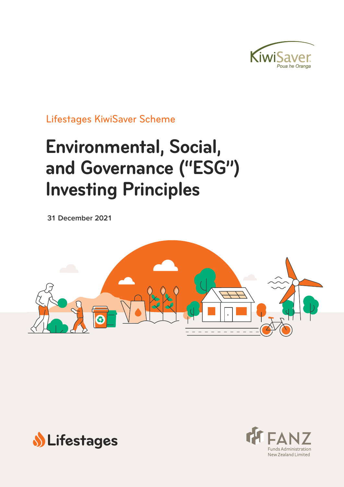

Lifestages KiwiSaver Scheme

# **Environmental, Social, and Governance ("ESG") Investing Principles**

**31 December 2021**





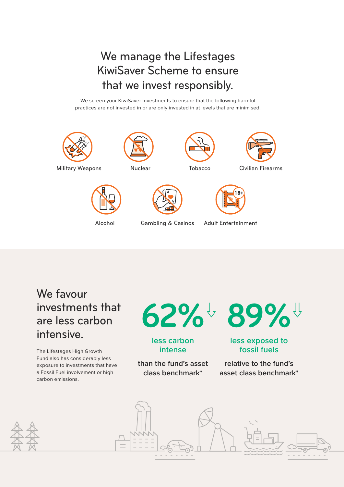We manage the Lifestages KiwiSaver Scheme to ensure that we invest responsibly.

We screen your KiwiSaver Investments to ensure that the following harmful practices are not invested in or are only invested in at levels that are minimised.







Gambling & Casinos Adult Entertainment

# We favour investments that are less carbon intensive.

The Lifestages High Growth Fund also has considerably less exposure to investments that have a Fossil Fuel involvement or high carbon emissions.

#### **Lower Fossil Fuel Involvement**  $\overline{\mathbf{L}}$ **Carbon Intensity 62% 89%**

### **less carbon intense**

**than the fund's asset class benchmark\***

Civilian Firearms

## **less exposed to fossil fuels**

**relative to the fund's asset class benchmark\***



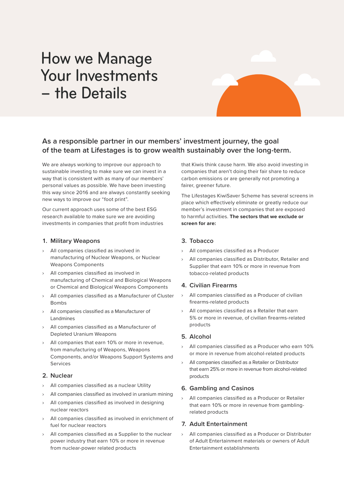# How we Manage Your Investments – the Details

### **As a responsible partner in our members' investment journey, the goal of the team at Lifestages is to grow wealth sustainably over the long-term.**

We are always working to improve our approach to sustainable investing to make sure we can invest in a way that is consistent with as many of our members' personal values as possible. We have been investing this way since 2016 and are always constantly seeking new ways to improve our "foot print".

Our current approach uses some of the best ESG research available to make sure we are avoiding investments in companies that profit from industries

#### **1. Military Weapons**

- › All companies classified as involved in manufacturing of Nuclear Weapons, or Nuclear Weapons Components
- All companies classified as involved in manufacturing of Chemical and Biological Weapons or Chemical and Biological Weapons Components
- › All companies classified as a Manufacturer of Cluster Bombs
- All companies classified as a Manufacturer of Landmines
- › All companies classified as a Manufacturer of Depleted Uranium Weapons
- All companies that earn 10% or more in revenue. from manufacturing of Weapons, Weapons Components, and/or Weapons Support Systems and Services

#### **2. Nuclear**

- › All companies classified as a nuclear Utility
- All companies classified as involved in uranium mining
- › All companies classified as involved in designing nuclear reactors
- › All companies classified as involved in enrichment of fuel for nuclear reactors
- All companies classified as a Supplier to the nuclear power industry that earn 10% or more in revenue from nuclear-power related products

that Kiwis think cause harm. We also avoid investing in companies that aren't doing their fair share to reduce carbon emissions or are generally not promoting a fairer, greener future.

The Lifestages KiwiSaver Scheme has several screens in place which effectively eliminate or greatly reduce our member's investment in companies that are exposed to harmful activities. **The sectors that we exclude or screen for are:**

#### **3. Tobacco**

- All companies classified as a Producer
- All companies classified as Distributor, Retailer and Supplier that earn 10% or more in revenue from tobacco-related products

#### **4. Civilian Firearms**

- › All companies classified as a Producer of civilian firearms-related products
- All companies classified as a Retailer that earn 5% or more in revenue, of civilian firearms-related products

#### **5. Alcohol**

- › All companies classified as a Producer who earn 10% or more in revenue from alcohol-related products
- All companies classified as a Retailer or Distributor that earn 25% or more in revenue from alcohol-related products

#### **6. Gambling and Casinos**

› All companies classified as a Producer or Retailer that earn 10% or more in revenue from gamblingrelated products

#### **7. Adult Entertainment**

› All companies classified as a Producer or Distributer of Adult Entertainment materials or owners of Adult Entertainment establishments